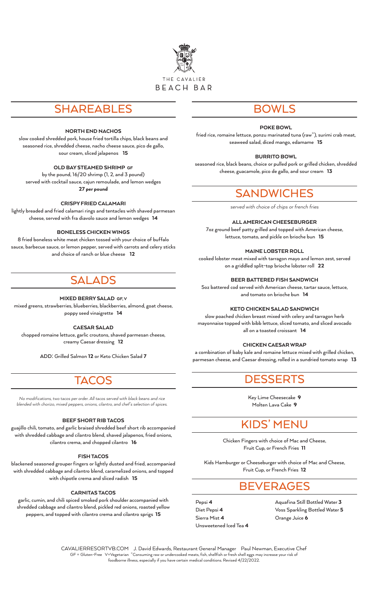

## SHAREABLES

#### NORTH END NACHOS

slow cooked shredded pork, house fried tortilla chips, black beans and seasoned rice, shredded cheese, nacho cheese sauce, pico de gallo, sour cream, sliced jalapenos 15

#### OLD BAY STEAMED SHRIMP GF

by the pound, 16/20 shrimp (1, 2, and 3 pound) served with cocktail sauce, cajun remoulade, and lemon wedges 27 per pound

#### CRISPY FRIED CALAMARI

lightly breaded and fried calamari rings and tentacles with shaved parmesan cheese, served with fra diavolo sauce and lemon wedges 14

#### BONELESS CHICKEN WINGS

8 fried boneless white meat chicken tossed with your choice of buffalo sauce, barbecue sauce, or lemon pepper, served with carrots and celery sticks and choice of ranch or blue cheese 12

## SAL

#### MIXED BERRY SALAD GF, V

mixed greens, strawberries, blueberries, blackberries, almond, goat cheese, poppy seed vinaigrette 14

#### CAESAR SALAD

chopped romaine lettuce, garlic croutons, shaved parmesan cheese, creamy Caesar dressing 12

**ADD:** Grilled Salmon 12 or Keto Chicken Salad 7

## TACOS

*No modifications, two tacos per order. All tacos served with black beans and rice blended with chorizo, mixed peppers, onions, cilantro, and chef's selection of spices.*

#### BEEF SHORT RIB TACOS

guajillo chili, tomato, and garlic braised shredded beef short rib accompanied with shredded cabbage and cilantro blend, shaved jalapenos, fried onions, cilantro crema, and chopped cilantro 16

#### FISH TACOS

blackened seasoned grouper fingers or lightly dusted and fried, accompanied with shredded cabbage and cilantro blend, caramelized onions, and topped with chipotle crema and sliced radish 15

#### CARNITAS TACOS

garlic, cumin, and chili spiced smoked pork shoulder accompanied with shredded cabbage and cilantro blend, pickled red onions, roasted yellow peppers, and topped with cilantro crema and cilantro sprigs 15

### BOWLS

#### POKE BOWL

fried rice, romaine lettuce, ponzu marinated tuna (raw<sup>\*</sup>), surimi crab meat, seaweed salad, diced mango, edamame 15

#### BURRITO BOWL

seasoned rice, black beans, choice or pulled pork or grilled chicken, shredded cheese, guacamole, pico de gallo, and sour cream 13

### **SANDWICHES**

*served with choice of chips or french fries*

#### ALL AMERICAN CHEESEBURGER

7oz ground beef patty grilled and topped with American cheese, lettuce, tomato, and pickle on brioche bun 15

#### MAINE LOBSTER ROLL

cooked lobster meat mixed with tarragon mayo and lemon zest, served on a griddled split-top brioche lobster roll 22

BEER BATTERED FISH SANDWICH

5oz battered cod served with American cheese, tartar sauce, lettuce, and tomato on brioche bun 14

#### KETO CHICKEN SALAD SANDWICH

slow poached chicken breast mixed with celery and tarragon herb mayonnaise topped with bibb lettuce, sliced tomato, and sliced avocado all on a toasted croissant 14

#### CHICKEN CAESAR WRAP

a combination of baby kale and romaine lettuce mixed with grilled chicken, parmesan cheese, and Caesar dressing, rolled in a sundried tomato wrap 13

### DESSERTS

Key Lime Cheesecake 9 Molten Lava Cake 9

## KIDS' MENU

Chicken Fingers with choice of Mac and Cheese, Fruit Cup, or French Fries 11

Kids Hamburger or Cheeseburger with choice of Mac and Cheese, Fruit Cup, or French Fries 12

### BEVERAGES

Pepsi 4 Diet Pepsi 4 Sierra Mist 4 Unsweetened Iced Tea 4 Aquafina Still Bottled Water 3 Voss Sparkling Bottled Water 5 Orange Juice 6

CAVALIERRESORTVB.COM J. David Edwards, Restaurant General Manager Paul Newman, Executive Chef GF = Gluten-Free V=Vegetarian \*Consuming raw or undercooked meats, fish, shellfish or fresh shell eggs may increase your risk of foodborne illness, especially if you have certain medical conditions. Revised 4/22/2022.